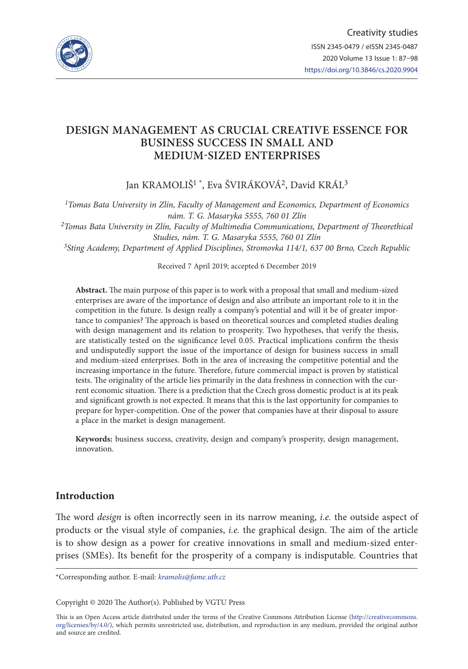

# **DESIGN MANAGEMENT AS CRUCIAL CREATIVE ESSENCE FOR BUSINESS SUCCESS IN SMALL AND MEDIUM-SIZED ENTERPRISES**

Jan KRAMOLIŠ<sup>1</sup>\*, Eva ŠVIRÁKOVÁ<sup>2</sup>, David KRÁL<sup>3</sup>

*1Tomas Bata University in Zlín, Faculty of Management and Economics, Department of Economics nám. T. G. Masaryka 5555, 760 01 Zlín*

*2Tomas Bata University in Zlín, Faculty of Multimedia Communications, Department of Theorethical Studies, nám. T. G. Masaryka 5555, 760 01 Zlín*

*3Sting Academy, Department of Applied Disciplines, Stromovka 114/1, 637 00 Brno, Czech Republic*

Received 7 April 2019; accepted 6 December 2019

**Abstract.** The main purpose of this paper is to work with a proposal that small and medium-sized enterprises are aware of the importance of design and also attribute an important role to it in the competition in the future. Is design really a company's potential and will it be of greater importance to companies? The approach is based on theoretical sources and completed studies dealing with design management and its relation to prosperity. Two hypotheses, that verify the thesis, are statistically tested on the significance level 0.05. Practical implications confirm the thesis and undisputedly support the issue of the importance of design for business success in small and medium-sized enterprises. Both in the area of increasing the competitive potential and the increasing importance in the future. Therefore, future commercial impact is proven by statistical tests. The originality of the article lies primarily in the data freshness in connection with the current economic situation. There is a prediction that the Czech gross domestic product is at its peak and significant growth is not expected. It means that this is the last opportunity for companies to prepare for hyper-competition. One of the power that companies have at their disposal to assure a place in the market is design management.

**Keywords:** business success, creativity, design and company's prosperity, design management, innovation.

## **Introduction**

The word *design* is often incorrectly seen in its narrow meaning, *i.e.* the outside aspect of products or the visual style of companies, *i.e.* the graphical design. The aim of the article is to show design as a power for creative innovations in small and medium-sized enterprises (SMEs). Its benefit for the prosperity of a company is indisputable. Countries that

\*Corresponding author. E-mail: *kramolis@fame.utb.cz*

Copyright © 2020 The Author(s). Published by VGTU Press

This is an Open Access article distributed under the terms of the Creative Commons Attribution License ([http://creativecommons.](http://creativecommons.org/licenses/by/4.0/) [org/licenses/by/4.0/\)](http://creativecommons.org/licenses/by/4.0/), which permits unrestricted use, distribution, and reproduction in any medium, provided the original author and source are credited.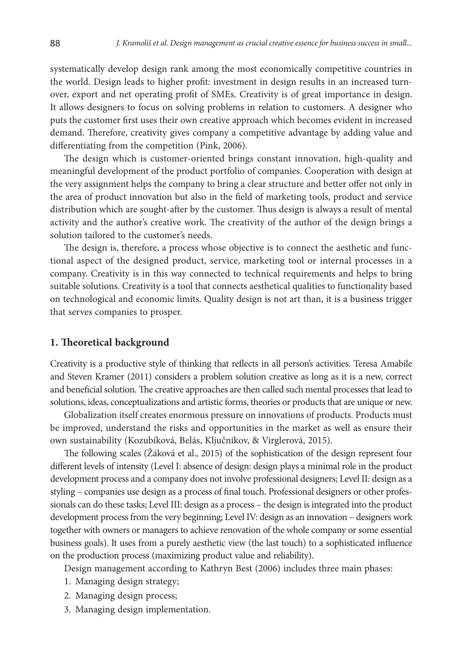systematically develop design rank among the most economically competitive countries in the world. Design leads to higher profit: investment in design results in an increased turnover, export and net operating profit of SMEs. Creativity is of great importance in design. It allows designers to focus on solving problems in relation to customers. A designer who puts the customer first uses their own creative approach which becomes evident in increased demand. Therefore, creativity gives company a competitive advantage by adding value and differentiating from the competition (Pink, 2006).

The design which is customer-oriented brings constant innovation, high-quality and meaningful development of the product portfolio of companies. Cooperation with design at the very assignment helps the company to bring a clear structure and better offer not only in the area of product innovation but also in the field of marketing tools, product and service distribution which are sought-after by the customer. Thus design is always a result of mental activity and the author's creative work. The creativity of the author of the design brings a solution tailored to the customer's needs.

The design is, therefore, a process whose objective is to connect the aesthetic and functional aspect of the designed product, service, marketing tool or internal processes in a company. Creativity is in this way connected to technical requirements and helps to bring suitable solutions. Creativity is a tool that connects aesthetical qualities to functionality based on technological and economic limits. Quality design is not art than, it is a business trigger that serves companies to prosper.

### **1. Theoretical background**

Creativity is a productive style of thinking that reflects in all person's activities. Teresa Amabile and Steven Kramer (2011) considers a problem solution creative as long as it is a new, correct and beneficial solution. The creative approaches are then called such mental processes that lead to solutions, ideas, conceptualizations and artistic forms, theories or products that are unique or new.

Globalization itself creates enormous pressure on innovations of products. Products must be improved, understand the risks and opportunities in the market as well as ensure their own sustainability (Kozubíková, Belás, Ključnikov, & Virglerová, 2015).

The following scales (Žáková et al., 2015) of the sophistication of the design represent four different levels of intensity (Level I: absence of design: design plays a minimal role in the product development process and a company does not involve professional designers; Level II: design as a styling – companies use design as a process of final touch. Professional designers or other professionals can do these tasks; Level III: design as a process – the design is integrated into the product development process from the very beginning; Level IV: design as an innovation – designers work together with owners or managers to achieve renovation of the whole company or some essential business goals). It uses from a purely aesthetic view (the last touch) to a sophisticated influence on the production process (maximizing product value and reliability).

Design management according to Kathryn Best (2006) includes three main phases:

- 1. Managing design strategy;
- 2. Managing design process;
- 3. Managing design implementation.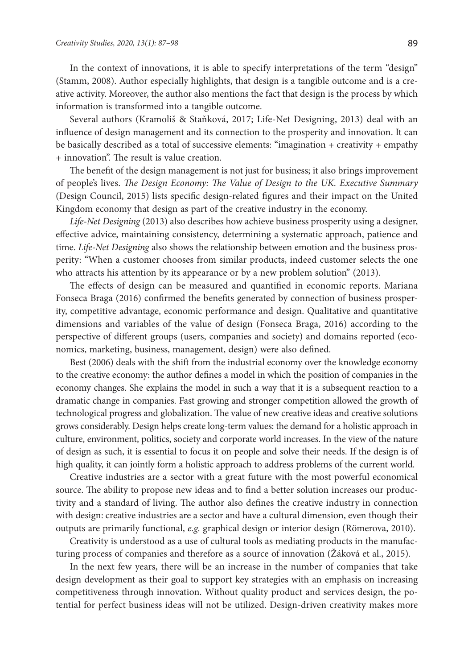In the context of innovations, it is able to specify interpretations of the term "design" (Stamm, 2008). Author especially highlights, that design is a tangible outcome and is a creative activity. Moreover, the author also mentions the fact that design is the process by which information is transformed into a tangible outcome.

Several authors (Kramoliš & Staňková, 2017; Life-Net Designing, 2013) deal with an influence of design management and its connection to the prosperity and innovation. It can be basically described as a total of successive elements: "imagination + creativity + empathy + innovation". The result is value creation.

The benefit of the design management is not just for business; it also brings improvement of people's lives. *The Design Economy: The Value of Design to the UK. Executive Summary* (Design Council, 2015) lists specific design-related figures and their impact on the United Kingdom economy that design as part of the creative industry in the economy.

*Life-Net Designing* (2013) also describes how achieve business prosperity using a designer, effective advice, maintaining consistency, determining a systematic approach, patience and time. *Life-Net Designing* also shows the relationship between emotion and the business prosperity: "When a customer chooses from similar products, indeed customer selects the one who attracts his attention by its appearance or by a new problem solution" (2013).

The effects of design can be measured and quantified in economic reports. Mariana Fonseca Braga (2016) confirmed the benefits generated by connection of business prosperity, competitive advantage, economic performance and design. Qualitative and quantitative dimensions and variables of the value of design (Fonseca Braga, 2016) according to the perspective of different groups (users, companies and society) and domains reported (economics, marketing, business, management, design) were also defined.

Best (2006) deals with the shift from the industrial economy over the knowledge economy to the creative economy: the author defines a model in which the position of companies in the economy changes. She explains the model in such a way that it is a subsequent reaction to a dramatic change in companies. Fast growing and stronger competition allowed the growth of technological progress and globalization. The value of new creative ideas and creative solutions grows considerably. Design helps create long-term values: the demand for a holistic approach in culture, environment, politics, society and corporate world increases. In the view of the nature of design as such, it is essential to focus it on people and solve their needs. If the design is of high quality, it can jointly form a holistic approach to address problems of the current world.

Creative industries are a sector with a great future with the most powerful economical source. The ability to propose new ideas and to find a better solution increases our productivity and a standard of living. The author also defines the creative industry in connection with design: creative industries are a sector and have a cultural dimension, even though their outputs are primarily functional, *e.g.* graphical design or interior design (Römerova, 2010).

Creativity is understood as a use of cultural tools as mediating products in the manufacturing process of companies and therefore as a source of innovation (Žáková et al., 2015).

In the next few years, there will be an increase in the number of companies that take design development as their goal to support key strategies with an emphasis on increasing competitiveness through innovation. Without quality product and services design, the potential for perfect business ideas will not be utilized. Design-driven creativity makes more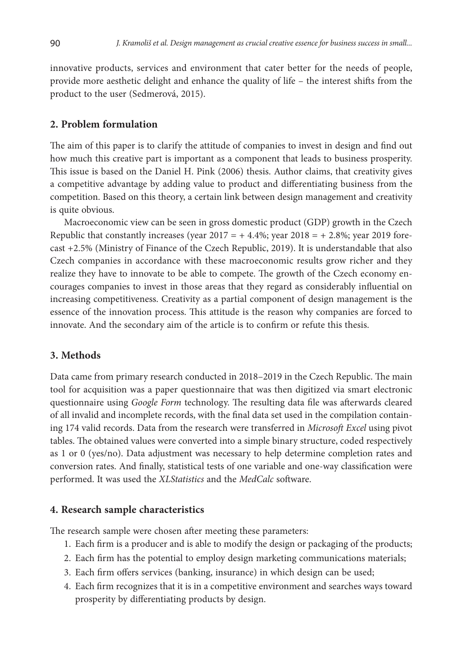innovative products, services and environment that cater better for the needs of people, provide more aesthetic delight and enhance the quality of life – the interest shifts from the product to the user (Sedmerová, 2015).

## **2. Problem formulation**

The aim of this paper is to clarify the attitude of companies to invest in design and find out how much this creative part is important as a component that leads to business prosperity. This issue is based on the Daniel H. Pink (2006) thesis. Author claims, that creativity gives a competitive advantage by adding value to product and differentiating business from the competition. Based on this theory, a certain link between design management and creativity is quite obvious.

Macroeconomic view can be seen in gross domestic product (GDP) growth in the Czech Republic that constantly increases (year  $2017 = +4.4\%$ ; year  $2018 = +2.8\%$ ; year 2019 forecast +2.5% (Ministry of Finance of the Czech Republic, 2019). It is understandable that also Czech companies in accordance with these macroeconomic results grow richer and they realize they have to innovate to be able to compete. The growth of the Czech economy encourages companies to invest in those areas that they regard as considerably influential on increasing competitiveness. Creativity as a partial component of design management is the essence of the innovation process. This attitude is the reason why companies are forced to innovate. And the secondary aim of the article is to confirm or refute this thesis.

## **3. Methods**

Data came from primary research conducted in 2018–2019 in the Czech Republic. The main tool for acquisition was a paper questionnaire that was then digitized via smart electronic questionnaire using *Google Form* technology. The resulting data file was afterwards cleared of all invalid and incomplete records, with the final data set used in the compilation containing 174 valid records. Data from the research were transferred in *Microsoft Excel* using pivot tables. The obtained values were converted into a simple binary structure, coded respectively as 1 or 0 (yes/no). Data adjustment was necessary to help determine completion rates and conversion rates. And finally, statistical tests of one variable and one-way classification were performed. It was used the *XLStatistics* and the *MedCalc* software.

### **4. Research sample characteristics**

The research sample were chosen after meeting these parameters:

- 1. Each firm is a producer and is able to modify the design or packaging of the products;
- 2. Each firm has the potential to employ design marketing communications materials;
- 3. Each firm offers services (banking, insurance) in which design can be used;
- 4. Each firm recognizes that it is in a competitive environment and searches ways toward prosperity by differentiating products by design.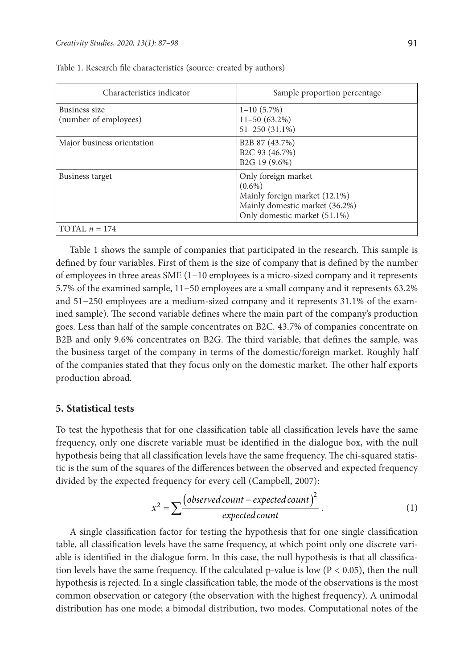| Characteristics indicator              | Sample proportion percentage                                                                                                        |
|----------------------------------------|-------------------------------------------------------------------------------------------------------------------------------------|
| Business size<br>(number of employees) | $1 - 10(5.7\%)$<br>$11 - 50(63.2\%)$<br>$51 - 250(31.1\%)$                                                                          |
| Major business orientation             | B <sub>2</sub> B 87 (43.7%)<br>B <sub>2</sub> C 93 (46.7%)<br>B <sub>2</sub> G <sub>19</sub> (9.6%)                                 |
| Business target                        | Only foreign market<br>$(0.6\%)$<br>Mainly foreign market (12.1%)<br>Mainly domestic market (36.2%)<br>Only domestic market (51.1%) |
| TOTAL $n = 174$                        |                                                                                                                                     |

Table 1. Research file characteristics (source: created by authors)

Table 1 shows the sample of companies that participated in the research. This sample is defined by four variables. First of them is the size of company that is defined by the number of employees in three areas SME (1–10 employees is a micro-sized company and it represents 5.7% of the examined sample, 11–50 employees are a small company and it represents 63.2% and 51–250 employees are a medium-sized company and it represents 31.1% of the examined sample). The second variable defines where the main part of the company's production goes. Less than half of the sample concentrates on B2C. 43.7% of companies concentrate on B2B and only 9.6% concentrates on B2G. The third variable, that defines the sample, was the business target of the company in terms of the domestic/foreign market. Roughly half of the companies stated that they focus only on the domestic market. The other half exports production abroad.

### **5. Statistical tests**

To test the hypothesis that for one classification table all classification levels have the same frequency, only one discrete variable must be identified in the dialogue box, with the null hypothesis being that all classification levels have the same frequency. The chi-squared statistic is the sum of the squares of the differences between the observed and expected frequency divided by the expected frequency for every cell (Campbell, 2007):

$$
x^{2} = \sum \frac{(observed count - expected count)^{2}}{expected count}.
$$
 (1)

A single classification factor for testing the hypothesis that for one single classification table, all classification levels have the same frequency, at which point only one discrete variable is identified in the dialogue form. In this case, the null hypothesis is that all classification levels have the same frequency. If the calculated p-value is low  $(P < 0.05)$ , then the null hypothesis is rejected. In a single classification table, the mode of the observations is the most common observation or category (the observation with the highest frequency). A unimodal distribution has one mode; a bimodal distribution, two modes. Computational notes of the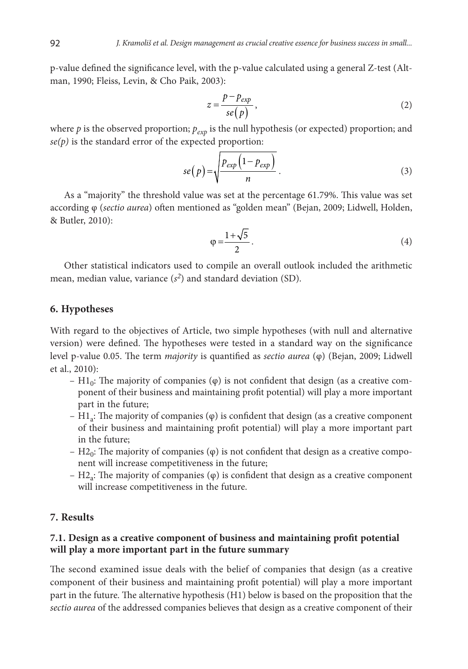p-value defined the significance level, with the p-value calculated using a general Z-test (Altman, 1990; Fleiss, Levin, & Cho Paik, 2003):

$$
z = \frac{p - p_{exp}}{se(p)},
$$
 (2)

where  $p$  is the observed proportion;  $p_{exp}$  is the null hypothesis (or expected) proportion; and  $se(p)$  is the standard error of the expected proportion:

$$
se(p) = \sqrt{\frac{p_{exp}\left(1 - p_{exp}\right)}{n}}\,. \tag{3}
$$

As a "majority" the threshold value was set at the percentage 61.79%. This value was set according φ (*sectio aurea*) often mentioned as "golden mean" (Bejan, 2009; Lidwell, Holden, & Butler, 2010):

$$
\varphi = \frac{1 + \sqrt{5}}{2} \,. \tag{4}
$$

Other statistical indicators used to compile an overall outlook included the arithmetic mean, median value, variance  $(s^2)$  and standard deviation (SD).

### **6. Hypotheses**

With regard to the objectives of Article, two simple hypotheses (with null and alternative version) were defined. The hypotheses were tested in a standard way on the significance level p-value 0.05. The term *majority* is quantified as *sectio aurea* (φ) (Bejan, 2009; Lidwell et al., 2010):

- H1<sub>0</sub>: The majority of companies  $(\varphi)$  is not confident that design (as a creative component of their business and maintaining profit potential) will play a more important part in the future;
- H<sub>1a</sub>: The majority of companies  $(φ)$  is confident that design (as a creative component of their business and maintaining profit potential) will play a more important part in the future;
- H2<sub>0</sub>: The majority of companies ( $\varphi$ ) is not confident that design as a creative component will increase competitiveness in the future;
- $H2<sub>a</sub>$ : The majority of companies ( $\varphi$ ) is confident that design as a creative component will increase competitiveness in the future.

### **7. Results**

### **7.1. Design as a creative component of business and maintaining profit potential will play a more important part in the future summary**

The second examined issue deals with the belief of companies that design (as a creative component of their business and maintaining profit potential) will play a more important part in the future. The alternative hypothesis (H1) below is based on the proposition that the *sectio aurea* of the addressed companies believes that design as a creative component of their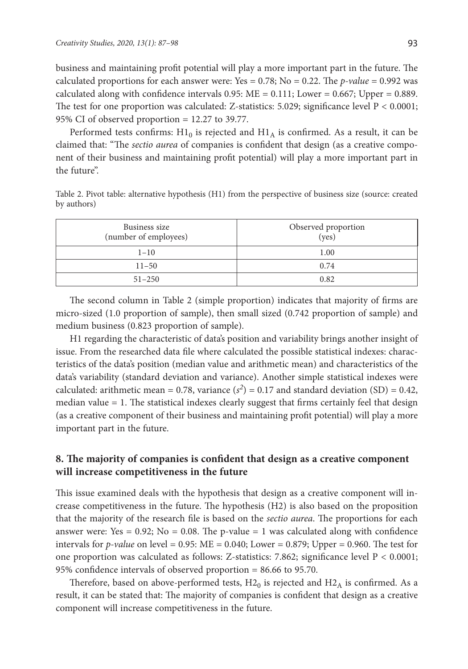business and maintaining profit potential will play a more important part in the future. The calculated proportions for each answer were: Yes  $= 0.78$ ; No  $= 0.22$ . The *p-value*  $= 0.992$  was calculated along with confidence intervals  $0.95$ :  $ME = 0.111$ ; Lower = 0.667; Upper = 0.889. The test for one proportion was calculated: Z-statistics: 5.029; significance level  $P < 0.0001$ ; 95% CI of observed proportion  $= 12.27$  to 39.77.

Performed tests confirms:  $H1_0$  is rejected and  $H1_A$  is confirmed. As a result, it can be claimed that: "The *sectio aurea* of companies is confident that design (as a creative component of their business and maintaining profit potential) will play a more important part in the future".

Table 2. Pivot table: alternative hypothesis (H1) from the perspective of business size (source: created by authors)

| Business size<br>(number of employees) | Observed proportion<br>(yes) |
|----------------------------------------|------------------------------|
| $1 - 10$                               | 1.00                         |
| $11 - 50$                              | 0.74                         |
| $51 - 250$                             | 0.82                         |

The second column in Table 2 (simple proportion) indicates that majority of firms are micro-sized (1.0 proportion of sample), then small sized (0.742 proportion of sample) and medium business (0.823 proportion of sample).

H1 regarding the characteristic of data's position and variability brings another insight of issue. From the researched data file where calculated the possible statistical indexes: characteristics of the data's position (median value and arithmetic mean) and characteristics of the data's variability (standard deviation and variance). Another simple statistical indexes were calculated: arithmetic mean = 0.78, variance  $(s^2)$  = 0.17 and standard deviation (SD) = 0.42, median value = 1. The statistical indexes clearly suggest that firms certainly feel that design (as a creative component of their business and maintaining profit potential) will play a more important part in the future.

# **8. The majority of companies is confident that design as a creative component will increase competitiveness in the future**

This issue examined deals with the hypothesis that design as a creative component will increase competitiveness in the future. The hypothesis (H2) is also based on the proposition that the majority of the research file is based on the *sectio aurea*. The proportions for each answer were: Yes =  $0.92$ ; No =  $0.08$ . The p-value = 1 was calculated along with confidence intervals for  $p$ -value on level = 0.95: ME = 0.040; Lower = 0.879; Upper = 0.960. The test for one proportion was calculated as follows: Z-statistics: 7.862; significance level P < 0.0001; 95% confidence intervals of observed proportion = 86.66 to 95.70.

Therefore, based on above-performed tests,  $H2_0$  is rejected and  $H2_A$  is confirmed. As a result, it can be stated that: The majority of companies is confident that design as a creative component will increase competitiveness in the future.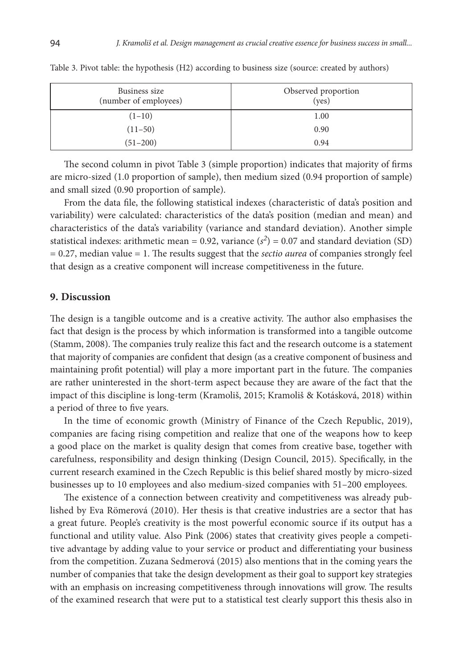| Business size<br>(number of employees) | Observed proportion<br>(yes) |
|----------------------------------------|------------------------------|
| $(1-10)$                               | 1.00                         |
| $(11-50)$                              | 0.90                         |
| $(51 - 200)$                           | 0.94                         |

Table 3. Pivot table: the hypothesis (H2) according to business size (source: created by authors)

The second column in pivot Table 3 (simple proportion) indicates that majority of firms are micro-sized (1.0 proportion of sample), then medium sized (0.94 proportion of sample) and small sized (0.90 proportion of sample).

From the data file, the following statistical indexes (characteristic of data's position and variability) were calculated: characteristics of the data's position (median and mean) and characteristics of the data's variability (variance and standard deviation). Another simple statistical indexes: arithmetic mean =  $0.92$ , variance  $(s^2) = 0.07$  and standard deviation (SD) = 0.27, median value = 1. The results suggest that the *sectio aurea* of companies strongly feel that design as a creative component will increase competitiveness in the future.

### **9. Discussion**

The design is a tangible outcome and is a creative activity. The author also emphasises the fact that design is the process by which information is transformed into a tangible outcome (Stamm, 2008). The companies truly realize this fact and the research outcome is a statement that majority of companies are confident that design (as a creative component of business and maintaining profit potential) will play a more important part in the future. The companies are rather uninterested in the short-term aspect because they are aware of the fact that the impact of this discipline is long-term (Kramoliš, 2015; Kramoliš & Kotásková, 2018) within a period of three to five years.

In the time of economic growth (Ministry of Finance of the Czech Republic, 2019), companies are facing rising competition and realize that one of the weapons how to keep a good place on the market is quality design that comes from creative base, together with carefulness, responsibility and design thinking (Design Council, 2015). Specifically, in the current research examined in the Czech Republic is this belief shared mostly by micro-sized businesses up to 10 employees and also medium-sized companies with 51–200 employees.

The existence of a connection between creativity and competitiveness was already published by Eva Römerová (2010). Her thesis is that creative industries are a sector that has a great future. People's creativity is the most powerful economic source if its output has a functional and utility value. Also Pink (2006) states that creativity gives people a competitive advantage by adding value to your service or product and differentiating your business from the competition. Zuzana Sedmerová (2015) also mentions that in the coming years the number of companies that take the design development as their goal to support key strategies with an emphasis on increasing competitiveness through innovations will grow. The results of the examined research that were put to a statistical test clearly support this thesis also in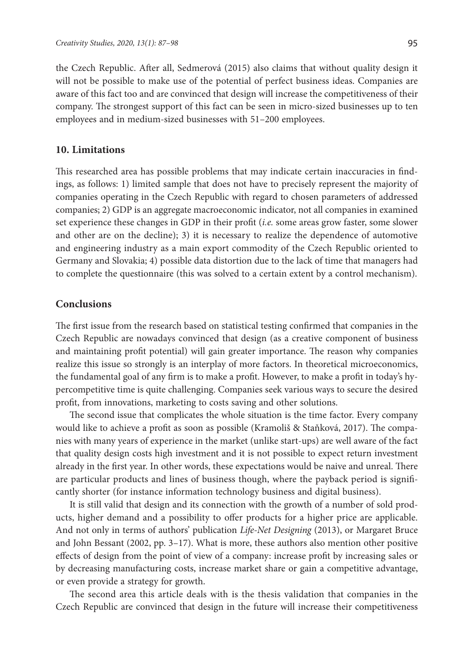the Czech Republic. After all, Sedmerová (2015) also claims that without quality design it will not be possible to make use of the potential of perfect business ideas. Companies are aware of this fact too and are convinced that design will increase the competitiveness of their company. The strongest support of this fact can be seen in micro-sized businesses up to ten employees and in medium-sized businesses with 51–200 employees.

### **10. Limitations**

This researched area has possible problems that may indicate certain inaccuracies in findings, as follows: 1) limited sample that does not have to precisely represent the majority of companies operating in the Czech Republic with regard to chosen parameters of addressed companies; 2) GDP is an aggregate macroeconomic indicator, not all companies in examined set experience these changes in GDP in their profit (*i.e.* some areas grow faster, some slower and other are on the decline); 3) it is necessary to realize the dependence of automotive and engineering industry as a main export commodity of the Czech Republic oriented to Germany and Slovakia; 4) possible data distortion due to the lack of time that managers had to complete the questionnaire (this was solved to a certain extent by a control mechanism).

# **Conclusions**

The first issue from the research based on statistical testing confirmed that companies in the Czech Republic are nowadays convinced that design (as a creative component of business and maintaining profit potential) will gain greater importance. The reason why companies realize this issue so strongly is an interplay of more factors. In theoretical microeconomics, the fundamental goal of any firm is to make a profit. However, to make a profit in today's hypercompetitive time is quite challenging. Companies seek various ways to secure the desired profit, from innovations, marketing to costs saving and other solutions.

The second issue that complicates the whole situation is the time factor. Every company would like to achieve a profit as soon as possible (Kramoliš & Staňková, 2017). The companies with many years of experience in the market (unlike start-ups) are well aware of the fact that quality design costs high investment and it is not possible to expect return investment already in the first year. In other words, these expectations would be naive and unreal. There are particular products and lines of business though, where the payback period is significantly shorter (for instance information technology business and digital business).

It is still valid that design and its connection with the growth of a number of sold products, higher demand and a possibility to offer products for a higher price are applicable. And not only in terms of authors' publication *Life-Net Designing* (2013), or Margaret Bruce and John Bessant (2002, pp. 3–17). What is more, these authors also mention other positive effects of design from the point of view of a company: increase profit by increasing sales or by decreasing manufacturing costs, increase market share or gain a competitive advantage, or even provide a strategy for growth.

The second area this article deals with is the thesis validation that companies in the Czech Republic are convinced that design in the future will increase their competitiveness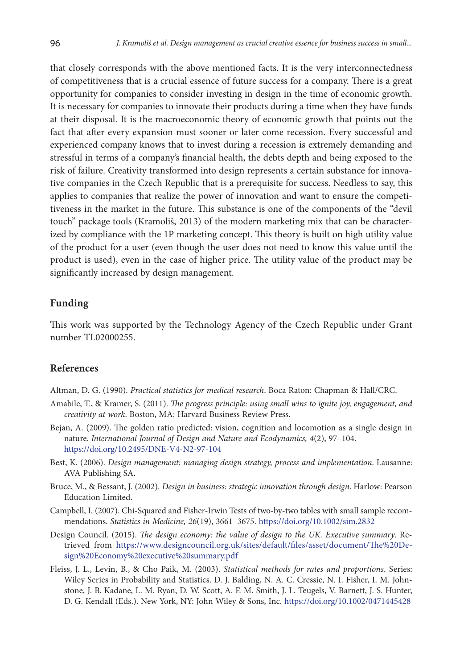that closely corresponds with the above mentioned facts. It is the very interconnectedness of competitiveness that is a crucial essence of future success for a company. There is a great opportunity for companies to consider investing in design in the time of economic growth. It is necessary for companies to innovate their products during a time when they have funds at their disposal. It is the macroeconomic theory of economic growth that points out the fact that after every expansion must sooner or later come recession. Every successful and experienced company knows that to invest during a recession is extremely demanding and stressful in terms of a company's financial health, the debts depth and being exposed to the risk of failure. Creativity transformed into design represents a certain substance for innovative companies in the Czech Republic that is a prerequisite for success. Needless to say, this applies to companies that realize the power of innovation and want to ensure the competitiveness in the market in the future. This substance is one of the components of the "devil touch" package tools (Kramoliš, 2013) of the modern marketing mix that can be characterized by compliance with the 1P marketing concept. This theory is built on high utility value of the product for a user (even though the user does not need to know this value until the product is used), even in the case of higher price. The utility value of the product may be significantly increased by design management.

### **Funding**

This work was supported by the Technology Agency of the Czech Republic under Grant number TL02000255.

### **References**

Altman, D. G. (1990). *Practical statistics for medical research*. Boca Raton: Chapman & Hall/CRC.

- Amabile, T., & Kramer, S. (2011). *The progress principle: using small wins to ignite joy, engagement, and creativity at work*. Boston, MA: Harvard Business Review Press.
- Bejan, A. (2009). The golden ratio predicted: vision, cognition and locomotion as a single design in nature. *International Journal of Design and Nature and Ecodynamics, 4*(2), 97–104. <https://doi.org/10.2495/DNE-V4-N2-97-104>
- Best, K. (2006). *Design management: managing design strategy, process and implementation*. Lausanne: AVA Publishing SA.
- Bruce, M., & Bessant, J. (2002). *Design in business: strategic innovation through design*. Harlow: Pearson Education Limited.
- Campbell, I. (2007). Chi-Squared and Fisher-Irwin Tests of two-by-two tables with small sample recommendations. *Statistics in Medicine, 26*(19), 3661–3675. <https://doi.org/10.1002/sim.2832>
- Design Council. (2015). *The design economy: the value of design to the UK. Executive summary*. Retrieved from https://www.designcouncil.org.uk/sites/default/files/asset/document/The%20Design%20Economy%20executive%20summary.pdf
- Fleiss, J. L., Levin, B., & Cho Paik, M. (2003). *Statistical methods for rates and proportions*. Series: Wiley Series in Probability and Statistics. D. J. Balding, N. A. C. Cressie, N. I. Fisher, I. M. Johnstone, J. B. Kadane, L. M. Ryan, D. W. Scott, A. F. M. Smith, J. L. Teugels, V. Barnett, J. S. Hunter, D. G. Kendall (Eds.). New York, NY: John Wiley & Sons, Inc. <https://doi.org/10.1002/0471445428>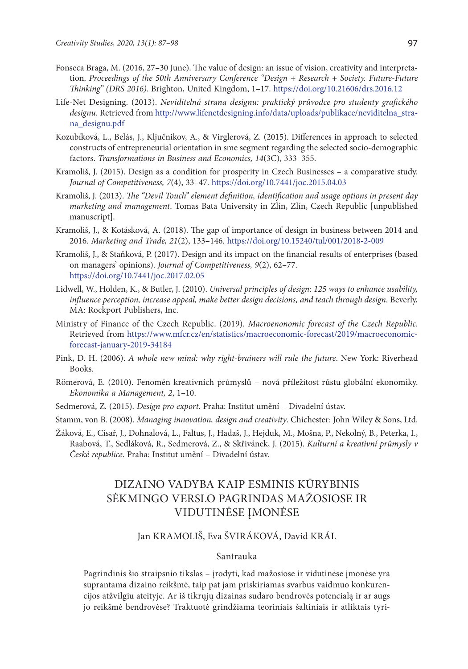- Fonseca Braga, M. (2016, 27–30 June). The value of design: an issue of vision, creativity and interpretation. *Proceedings of the 50th Anniversary Conference "Design + Research + Society. Future-Future Thinking" (DRS 2016)*. Brighton, United Kingdom, 1–17. <https://doi.org/10.21606/drs.2016.12>
- Life-Net Designing. (2013). *Neviditelná strana designu: praktický průvodce pro studenty grafického designu*. Retrieved from http://www.lifenetdesigning.info/data/uploads/publikace/neviditelna\_strana\_designu.pdf
- Kozubíková, L., Belás, J., Ključnikov, A., & Virglerová, Z. (2015). Differences in approach to selected constructs of entrepreneurial orientation in sme segment regarding the selected socio-demographic factors. *Transformations in Business and Economics, 14*(3C), 333–355.
- Kramoliš, J. (2015). Design as a condition for prosperity in Czech Businesses a comparative study. *Journal of Competitiveness, 7*(4), 33–47. <https://doi.org/10.7441/joc.2015.04.03>
- Kramoliš, J. (2013). *The "Devil Touch" element definition, identification and usage options in present day marketing and management*. Tomas Bata University in Zlín, Zlín, Czech Republic [unpublished manuscript].
- Kramoliš, J., & Kotásková, A. (2018). The gap of importance of design in business between 2014 and 2016. *Marketing and Trade, 21*(2), 133–146. <https://doi.org/10.15240/tul/001/2018-2-009>
- Kramoliš, J., & Staňková, P. (2017). Design and its impact on the financial results of enterprises (based on managers' opinions). *Journal of Competitiveness, 9*(2), 62–77. <https://doi.org/10.7441/joc.2017.02.05>
- Lidwell, W., Holden, K., & Butler, J. (2010). *Universal principles of design: 125 ways to enhance usability, influence perception, increase appeal, make better design decisions, and teach through design*. Beverly, MA: Rockport Publishers, Inc.
- Ministry of Finance of the Czech Republic. (2019). *Macroenonomic forecast of the Czech Republic*. Retrieved from https://www.mfcr.cz/en/statistics/macroeconomic-forecast/2019/macroeconomicforecast-january-2019-34184
- Pink, D. H. (2006). *A whole new mind: why right-brainers will rule the future*. New York: Riverhead Books.
- Römerová, E. (2010). Fenomén kreativních průmyslů nová příležitost růstu globální ekonomiky. *Ekonomika a Management, 2*, 1–10.
- Sedmerová, Z. (2015). *Design pro export*. Praha: Institut umění Divadelní ústav.
- Stamm, von B. (2008). *Managing innovation, design and creativity*. Chichester: John Wiley & Sons, Ltd.
- Žáková, E., Císař, J., Dohnalová, L., Faltus, J., Hadaš, J., Hejduk, M., Mošna, P., Nekolný, B., Peterka, I., Raabová, T., Sedláková, R., Sedmerová, Z., & Skřivánek, J. (2015). *Kulturní a kreativní průmysly v České republice*. Praha: Institut umění – Divadelní ústav.

# DIZAINO VADYBA KAIP ESMINIS KŪRYBINIS SĖKMINGO VERSLO PAGRINDAS MAŽOSIOSE IR VIDUTINĖSE ĮMONĖSE

## Jan KRAMOLIŠ, Eva ŠVIRÁKOVÁ, David KRÁL

### Santrauka

Pagrindinis šio straipsnio tikslas – įrodyti, kad mažosiose ir vidutinėse įmonėse yra suprantama dizaino reikšmė, taip pat jam priskiriamas svarbus vaidmuo konkurencijos atžvilgiu ateityje. Ar iš tikrųjų dizainas sudaro bendrovės potencialą ir ar augs jo reikšmė bendrovėse? Traktuotė grindžiama teoriniais šaltiniais ir atliktais tyri